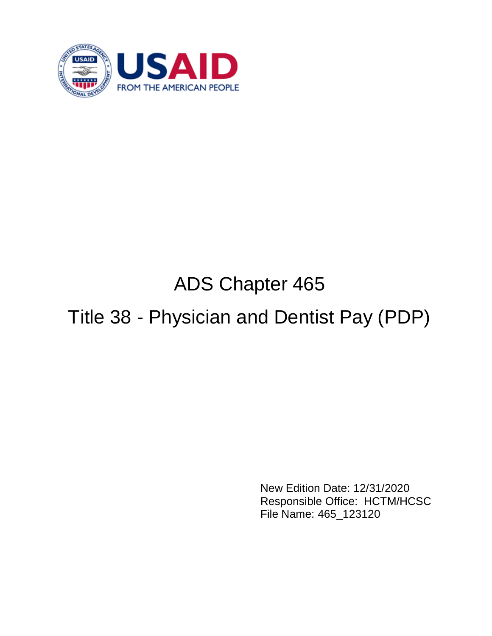

# ADS Chapter 465

# Title 38 - Physician and Dentist Pay (PDP)

New Edition Date: 12/31/2020 Responsible Office: HCTM/HCSC File Name: 465\_123120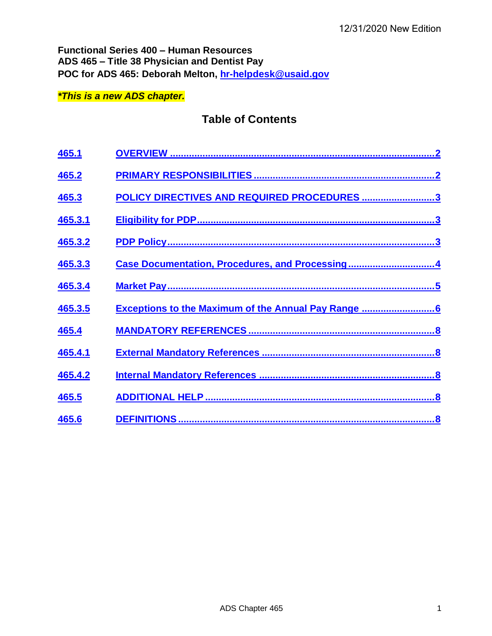**Functional Series 400 – Human Resources ADS 465 – Title 38 Physician and Dentist Pay POC for ADS 465: Deborah Melton, [hr-helpdesk@usaid.gov](mailto:hr-helpdesk@usaid.gov)**

## *\*This is a new ADS chapter.*

# **Table of Contents**

| 465.1   |                                                             |
|---------|-------------------------------------------------------------|
| 465.2   |                                                             |
| 465.3   | POLICY DIRECTIVES AND REQUIRED PROCEDURES 3                 |
| 465.3.1 |                                                             |
| 465.3.2 |                                                             |
| 465.3.3 | Case Documentation, Procedures, and Processing4             |
| 465.3.4 |                                                             |
| 465.3.5 | <b>Exceptions to the Maximum of the Annual Pay Range </b> 6 |
| 465.4   |                                                             |
| 465.4.1 |                                                             |
| 465.4.2 |                                                             |
| 465.5   |                                                             |
| 465.6   |                                                             |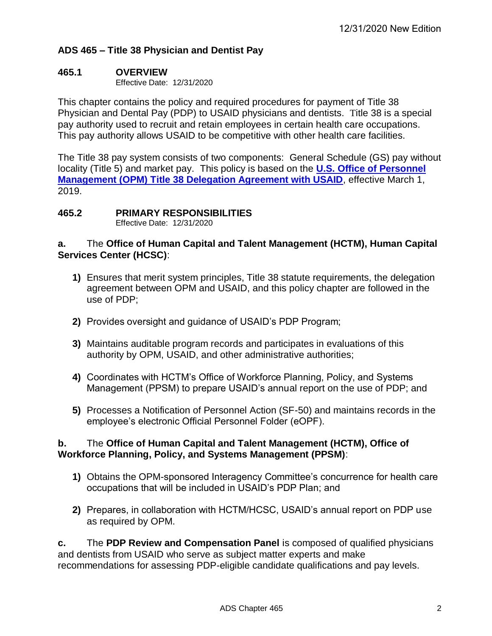## **ADS 465 – Title 38 Physician and Dentist Pay**

## <span id="page-2-0"></span>**465.1 OVERVIEW**

Effective Date: 12/31/2020

This chapter contains the policy and required procedures for payment of Title 38 Physician and Dental Pay (PDP) to USAID physicians and dentists. Title 38 is a special pay authority used to recruit and retain employees in certain health care occupations. This pay authority allows USAID to be competitive with other health care facilities.

The Title 38 pay system consists of two components: General Schedule (GS) pay without locality (Title 5) and market pay. This policy is based on the **[U.S. Office of Personnel](https://drive.google.com/file/d/1ZfIAA-zp2BALsq7gSVN69PQZyRhX57kT/view?usp=sharing)  [Management \(OPM\) Title 38 Delegation Agreement with USAID](https://drive.google.com/file/d/1ZfIAA-zp2BALsq7gSVN69PQZyRhX57kT/view?usp=sharing)**, effective March 1, 2019.

## <span id="page-2-1"></span>**465.2 PRIMARY RESPONSIBILITIES**

Effective Date: 12/31/2020

## **a.** The **Office of Human Capital and Talent Management (HCTM), Human Capital Services Center (HCSC)**:

- **1)** Ensures that merit system principles, Title 38 statute requirements, the delegation agreement between OPM and USAID, and this policy chapter are followed in the use of PDP;
- **2)** Provides oversight and guidance of USAID's PDP Program;
- **3)** Maintains auditable program records and participates in evaluations of this authority by OPM, USAID, and other administrative authorities;
- **4)** Coordinates with HCTM's Office of Workforce Planning, Policy, and Systems Management (PPSM) to prepare USAID's annual report on the use of PDP; and
- **5)** Processes a Notification of Personnel Action (SF-50) and maintains records in the employee's electronic Official Personnel Folder (eOPF).

## **b.** The **Office of Human Capital and Talent Management (HCTM), Office of Workforce Planning, Policy, and Systems Management (PPSM)**:

- **1)** Obtains the OPM-sponsored Interagency Committee's concurrence for health care occupations that will be included in USAID's PDP Plan; and
- **2)** Prepares, in collaboration with HCTM/HCSC, USAID's annual report on PDP use as required by OPM.

**c.** The **PDP Review and Compensation Panel** is composed of qualified physicians and dentists from USAID who serve as subject matter experts and make recommendations for assessing PDP-eligible candidate qualifications and pay levels.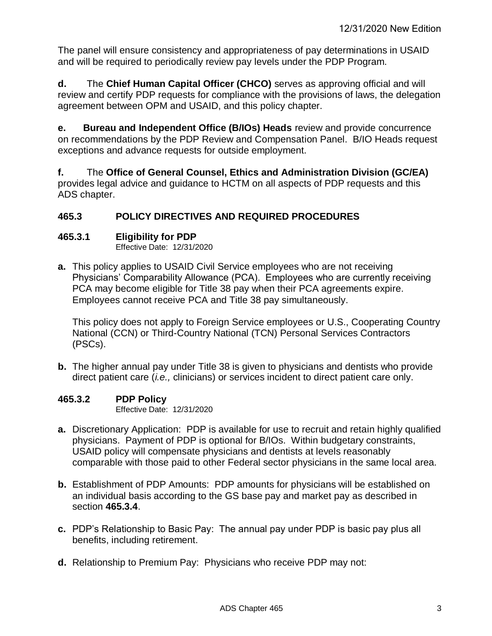The panel will ensure consistency and appropriateness of pay determinations in USAID and will be required to periodically review pay levels under the PDP Program.

**d.** The **Chief Human Capital Officer (CHCO)** serves as approving official and will review and certify PDP requests for compliance with the provisions of laws, the delegation agreement between OPM and USAID, and this policy chapter.

**e. Bureau and Independent Office (B/IOs) Heads** review and provide concurrence on recommendations by the PDP Review and Compensation Panel. B/IO Heads request exceptions and advance requests for outside employment.

**f.** The **Office of General Counsel, Ethics and Administration Division (GC/EA)** provides legal advice and guidance to HCTM on all aspects of PDP requests and this ADS chapter.

# <span id="page-3-0"></span>**465.3 POLICY DIRECTIVES AND REQUIRED PROCEDURES**

## <span id="page-3-1"></span>**465.3.1 Eligibility for PDP**

Effective Date: 12/31/2020

**a.** This policy applies to USAID Civil Service employees who are not receiving Physicians' Comparability Allowance (PCA). Employees who are currently receiving PCA may become eligible for Title 38 pay when their PCA agreements expire. Employees cannot receive PCA and Title 38 pay simultaneously.

This policy does not apply to Foreign Service employees or U.S., Cooperating Country National (CCN) or Third-Country National (TCN) Personal Services Contractors (PSCs).

**b.** The higher annual pay under Title 38 is given to physicians and dentists who provide direct patient care (*i.e.,* clinicians) or services incident to direct patient care only.

## <span id="page-3-2"></span>**465.3.2 PDP Policy**

Effective Date: 12/31/2020

- **a.** Discretionary Application: PDP is available for use to recruit and retain highly qualified physicians. Payment of PDP is optional for B/IOs. Within budgetary constraints, USAID policy will compensate physicians and dentists at levels reasonably comparable with those paid to other Federal sector physicians in the same local area.
- **b.** Establishment of PDP Amounts: PDP amounts for physicians will be established on an individual basis according to the GS base pay and market pay as described in section **465.3.4**.
- **c.** PDP's Relationship to Basic Pay: The annual pay under PDP is basic pay plus all benefits, including retirement.
- **d.** Relationship to Premium Pay: Physicians who receive PDP may not: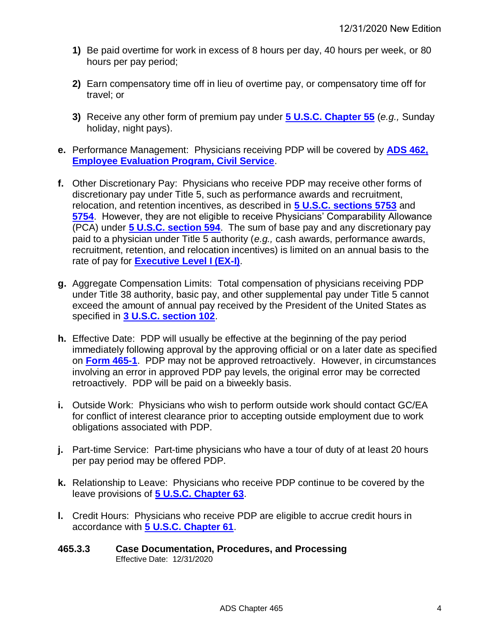- **1)** Be paid overtime for work in excess of 8 hours per day, 40 hours per week, or 80 hours per pay period;
- **2)** Earn compensatory time off in lieu of overtime pay, or compensatory time off for travel; or
- **3)** Receive any other form of premium pay under **[5 U.S.C. Chapter 55](https://uscode.house.gov/view.xhtml?path=/prelim@title5/part3/subpartD/chapter55&edition=prelim)** (*e.g.,* Sunday holiday, night pays).
- **e.** Performance Management: Physicians receiving PDP will be covered by **[ADS 462,](https://www.usaid.gov/ads/policy/400/462)  [Employee Evaluation Program, Civil Service](https://www.usaid.gov/ads/policy/400/462)**.
- **f.** Other Discretionary Pay: Physicians who receive PDP may receive other forms of discretionary pay under Title 5, such as performance awards and recruitment, relocation, and retention incentives, as described in **[5 U.S.C. sections 5753](https://uscode.house.gov/view.xhtml?req=granuleid:USC-1999-title5-section5753&num=0&edition=1999)** and **[5754](https://uscode.house.gov/view.xhtml?req=granuleid:USC-1999-title5-section5754&num=0&edition=1999)**. However, they are not eligible to receive Physicians' Comparability Allowance (PCA) under **[5 U.S.C. section 594](https://www.govinfo.gov/app/details/USCODE-2011-title5/USCODE-2011-title5-partI-chap5-subchapV-sec594)**. The sum of base pay and any discretionary pay paid to a physician under Title 5 authority (*e.g.,* cash awards, performance awards, recruitment, retention, and relocation incentives) is limited on an annual basis to the rate of pay for **[Executive Level I \(EX-I\)](https://www.opm.gov/policy-data-oversight/pay-leave/salaries-wages/)**.
- **g.** Aggregate Compensation Limits: Total compensation of physicians receiving PDP under Title 38 authority, basic pay, and other supplemental pay under Title 5 cannot exceed the amount of annual pay received by the President of the United States as specified in **[3 U.S.C. section 102](https://uscode.house.gov/view.xhtml?path=/prelim@title3/chapter2&edition=prelim)**.
- **h.** Effective Date: PDP will usually be effective at the beginning of the pay period immediately following approval by the approving official or on a later date as specified on **[Form 465-1](https://drive.google.com/file/d/1tZA3627rGVCotgAKEszq0ITN61YYxn82/view?usp=sharing)**. PDP may not be approved retroactively. However, in circumstances involving an error in approved PDP pay levels, the original error may be corrected retroactively. PDP will be paid on a biweekly basis.
- **i.** Outside Work: Physicians who wish to perform outside work should contact GC/EA for conflict of interest clearance prior to accepting outside employment due to work obligations associated with PDP.
- **j.** Part-time Service: Part-time physicians who have a tour of duty of at least 20 hours per pay period may be offered PDP.
- **k.** Relationship to Leave: Physicians who receive PDP continue to be covered by the leave provisions of **[5 U.S.C. Chapter 63](https://uscode.house.gov/view.xhtml?req=granuleid%3AUSC-prelim-title5-chapter63&edition=prelim)**.
- **l.** Credit Hours: Physicians who receive PDP are eligible to accrue credit hours in accordance with **[5 U.S.C. Chapter 61](https://uscode.house.gov/view.xhtml?req=granuleid%3AUSC-prelim-title5-chapter61&edition=prelim)**.

#### <span id="page-4-0"></span>**465.3.3 Case Documentation, Procedures, and Processing**  Effective Date: 12/31/2020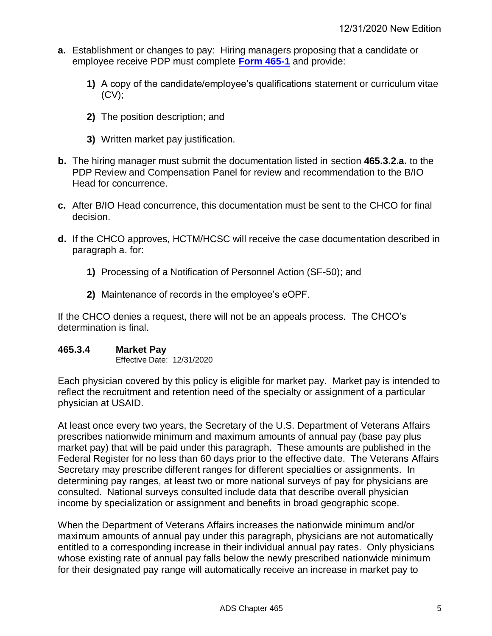- **a.** Establishment or changes to pay: Hiring managers proposing that a candidate or employee receive PDP must complete **[Form 465-1](https://drive.google.com/file/d/1tZA3627rGVCotgAKEszq0ITN61YYxn82/view?usp=sharing)** and provide:
	- **1)** A copy of the candidate/employee's qualifications statement or curriculum vitae  $(CV)$ ;
	- **2)** The position description; and
	- **3)** Written market pay justification.
- **b.** The hiring manager must submit the documentation listed in section **465.3.2.a.** to the PDP Review and Compensation Panel for review and recommendation to the B/IO Head for concurrence.
- **c.** After B/IO Head concurrence, this documentation must be sent to the CHCO for final decision.
- **d.** If the CHCO approves, HCTM/HCSC will receive the case documentation described in paragraph a. for:
	- **1)** Processing of a Notification of Personnel Action (SF-50); and
	- **2)** Maintenance of records in the employee's eOPF.

If the CHCO denies a request, there will not be an appeals process. The CHCO's determination is final.

#### <span id="page-5-0"></span>**465.3.4 Market Pay**

Effective Date: 12/31/2020

Each physician covered by this policy is eligible for market pay. Market pay is intended to reflect the recruitment and retention need of the specialty or assignment of a particular physician at USAID.

At least once every two years, the Secretary of the U.S. Department of Veterans Affairs prescribes nationwide minimum and maximum amounts of annual pay (base pay plus market pay) that will be paid under this paragraph. These amounts are published in the Federal Register for no less than 60 days prior to the effective date. The Veterans Affairs Secretary may prescribe different ranges for different specialties or assignments. In determining pay ranges, at least two or more national surveys of pay for physicians are consulted. National surveys consulted include data that describe overall physician income by specialization or assignment and benefits in broad geographic scope.

When the Department of Veterans Affairs increases the nationwide minimum and/or maximum amounts of annual pay under this paragraph, physicians are not automatically entitled to a corresponding increase in their individual annual pay rates. Only physicians whose existing rate of annual pay falls below the newly prescribed nationwide minimum for their designated pay range will automatically receive an increase in market pay to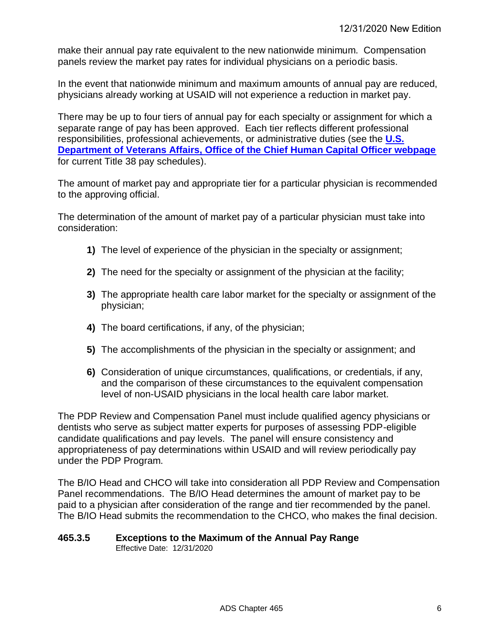make their annual pay rate equivalent to the new nationwide minimum. Compensation panels review the market pay rates for individual physicians on a periodic basis.

In the event that nationwide minimum and maximum amounts of annual pay are reduced, physicians already working at USAID will not experience a reduction in market pay.

There may be up to four tiers of annual pay for each specialty or assignment for which a separate range of pay has been approved. Each tier reflects different professional responsibilities, professional achievements, or administrative duties (see the **[U.S.](https://www.va.gov/OHRM/Pay/)  [Department of Veterans Affairs, Office of the Chief Human Capital Officer webpage](https://www.va.gov/OHRM/Pay/)** for current Title 38 pay schedules).

The amount of market pay and appropriate tier for a particular physician is recommended to the approving official.

The determination of the amount of market pay of a particular physician must take into consideration:

- **1)** The level of experience of the physician in the specialty or assignment;
- **2)** The need for the specialty or assignment of the physician at the facility;
- **3)** The appropriate health care labor market for the specialty or assignment of the physician;
- **4)** The board certifications, if any, of the physician;
- **5)** The accomplishments of the physician in the specialty or assignment; and
- **6)** Consideration of unique circumstances, qualifications, or credentials, if any, and the comparison of these circumstances to the equivalent compensation level of non-USAID physicians in the local health care labor market.

The PDP Review and Compensation Panel must include qualified agency physicians or dentists who serve as subject matter experts for purposes of assessing PDP-eligible candidate qualifications and pay levels. The panel will ensure consistency and appropriateness of pay determinations within USAID and will review periodically pay under the PDP Program.

The B/IO Head and CHCO will take into consideration all PDP Review and Compensation Panel recommendations. The B/IO Head determines the amount of market pay to be paid to a physician after consideration of the range and tier recommended by the panel. The B/IO Head submits the recommendation to the CHCO, who makes the final decision.

#### <span id="page-6-0"></span>**465.3.5 Exceptions to the Maximum of the Annual Pay Range** Effective Date: 12/31/2020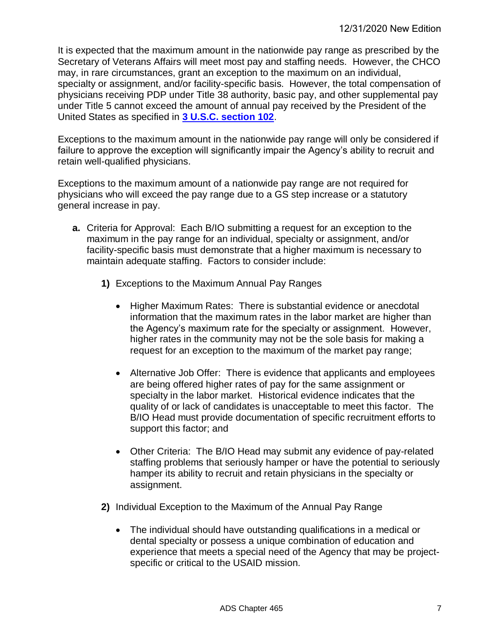It is expected that the maximum amount in the nationwide pay range as prescribed by the Secretary of Veterans Affairs will meet most pay and staffing needs. However, the CHCO may, in rare circumstances, grant an exception to the maximum on an individual, specialty or assignment, and/or facility-specific basis. However, the total compensation of physicians receiving PDP under Title 38 authority, basic pay, and other supplemental pay under Title 5 cannot exceed the amount of annual pay received by the President of the United States as specified in **[3 U.S.C. section 102](https://uscode.house.gov/view.xhtml?path=/prelim@title3/chapter2&edition=prelim)**.

Exceptions to the maximum amount in the nationwide pay range will only be considered if failure to approve the exception will significantly impair the Agency's ability to recruit and retain well-qualified physicians.

Exceptions to the maximum amount of a nationwide pay range are not required for physicians who will exceed the pay range due to a GS step increase or a statutory general increase in pay.

- **a.** Criteria for Approval: Each B/IO submitting a request for an exception to the maximum in the pay range for an individual, specialty or assignment, and/or facility-specific basis must demonstrate that a higher maximum is necessary to maintain adequate staffing. Factors to consider include:
	- **1)** Exceptions to the Maximum Annual Pay Ranges
		- Higher Maximum Rates: There is substantial evidence or anecdotal information that the maximum rates in the labor market are higher than the Agency's maximum rate for the specialty or assignment. However, higher rates in the community may not be the sole basis for making a request for an exception to the maximum of the market pay range;
		- Alternative Job Offer: There is evidence that applicants and employees are being offered higher rates of pay for the same assignment or specialty in the labor market. Historical evidence indicates that the quality of or lack of candidates is unacceptable to meet this factor. The B/IO Head must provide documentation of specific recruitment efforts to support this factor; and
		- Other Criteria: The B/IO Head may submit any evidence of pay-related staffing problems that seriously hamper or have the potential to seriously hamper its ability to recruit and retain physicians in the specialty or assignment.
	- **2)** Individual Exception to the Maximum of the Annual Pay Range
		- The individual should have outstanding qualifications in a medical or dental specialty or possess a unique combination of education and experience that meets a special need of the Agency that may be projectspecific or critical to the USAID mission.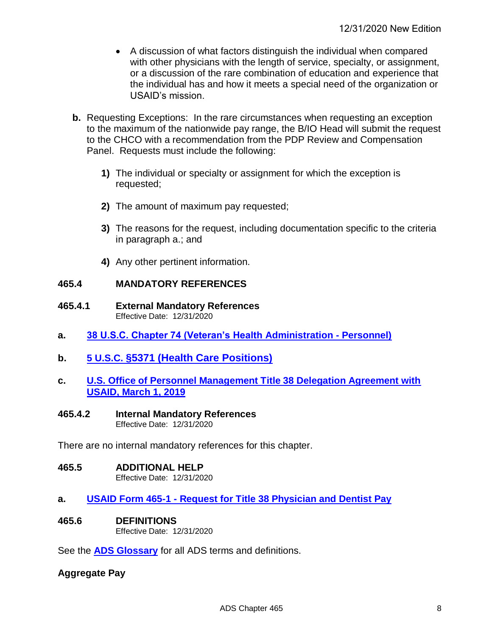- A discussion of what factors distinguish the individual when compared with other physicians with the length of service, specialty, or assignment, or a discussion of the rare combination of education and experience that the individual has and how it meets a special need of the organization or USAID's mission.
- **b.** Requesting Exceptions: In the rare circumstances when requesting an exception to the maximum of the nationwide pay range, the B/IO Head will submit the request to the CHCO with a recommendation from the PDP Review and Compensation Panel. Requests must include the following:
	- **1)** The individual or specialty or assignment for which the exception is requested;
	- **2)** The amount of maximum pay requested;
	- **3)** The reasons for the request, including documentation specific to the criteria in paragraph a.; and
	- **4)** Any other pertinent information.

## <span id="page-8-0"></span>**465.4 MANDATORY REFERENCES**

- <span id="page-8-1"></span>**465.4.1 External Mandatory References** Effective Date: 12/31/2020
- **a. [38 U.S.C. Chapter 74 \(Veteran's Health Administration -](https://uscode.house.gov/view.xhtml?path=/prelim@title38/part5/chapter74&edition=prelim) Personnel)**
- **b. 5 U.S.C. [§5371 \(Health Care Positions\)](https://uscode.house.gov/view.xhtml?req=health+care+positions&f=treesort&fq=true&num=11&hl=true&edition=prelim&granuleId=USC-prelim-title5-section5371)**
- **c. [U.S. Office of Personnel Management Title 38 Delegation Agreement with](https://drive.google.com/file/d/1ZfIAA-zp2BALsq7gSVN69PQZyRhX57kT/view?usp=sharing)  USAID, [March 1, 2019](https://drive.google.com/file/d/1ZfIAA-zp2BALsq7gSVN69PQZyRhX57kT/view?usp=sharing)**
- <span id="page-8-2"></span>**465.4.2 Internal Mandatory References**

Effective Date: 12/31/2020

There are no internal mandatory references for this chapter.

#### <span id="page-8-3"></span>**465.5 ADDITIONAL HELP**

Effective Date: 12/31/2020

- **a. USAID Form 465-1 - [Request for Title 38 Physician and Dentist Pay](https://drive.google.com/file/d/1tZA3627rGVCotgAKEszq0ITN61YYxn82/view?usp=sharing)**
- <span id="page-8-4"></span>**465.6 DEFINITIONS**  Effective Date: 12/31/2020

See the **[ADS Glossary](https://www.usaid.gov/who-we-are/agency-policy/glossary-ads-terms)** for all ADS terms and definitions.

## **Aggregate Pay**